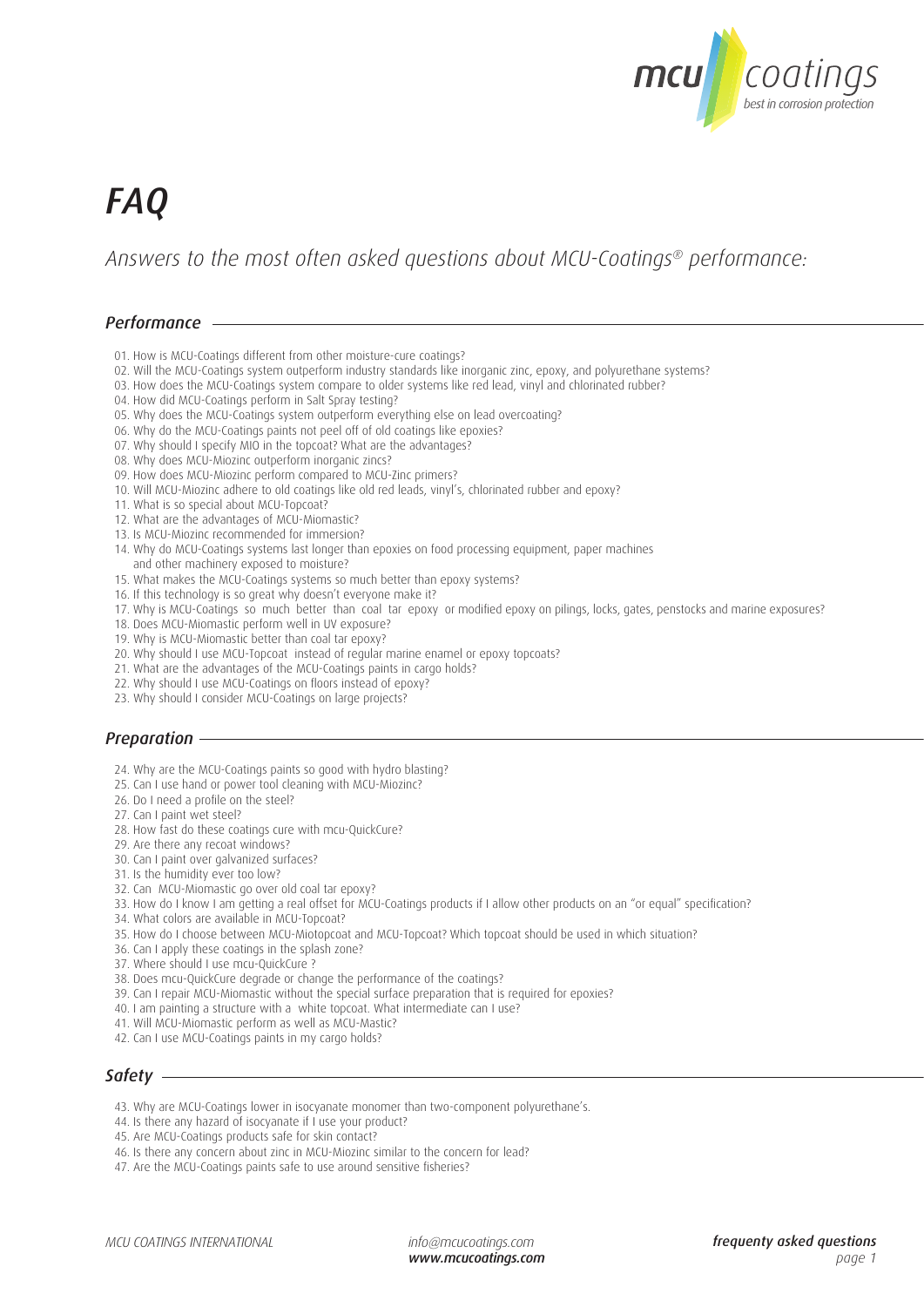

# *FAQ*

*Answers to the most often asked questions about MCU-Coatings® performance:* 

# *Performance*

- 01. How is MCU-Coatings different from other moisture-cure coatings?
- 02. Will the MCU-Coatings system outperform industry standards like inorganic zinc, epoxy, and polyurethane systems?
- 03. How does the MCU-Coatings system compare to older systems like red lead, vinyl and chlorinated rubber?
- 04. How did MCU-Coatings perform in Salt Spray testing?
- 05. Why does the MCU-Coatings system outperform everything else on lead overcoating?
- 06. Why do the MCU-Coatings paints not peel off of old coatings like epoxies?
- 07. Why should I specify MIO in the topcoat? What are the advantages?
- 08. Why does MCU-Miozinc outperform inorganic zincs?
- 09. How does MCU-Miozinc perform compared to MCU-Zinc primers?
- 10. Will MCU-Miozinc adhere to old coatings like old red leads, vinyl's, chlorinated rubber and epoxy?
- 11. What is so special about MCU-Topcoat?
- 12. What are the advantages of MCU-Miomastic?
- 13. Is MCU-Miozinc recommended for immersion?
- 14. Why do MCU-Coatings systems last longer than epoxies on food processing equipment, paper machines and other machinery exposed to moisture?
- 15. What makes the MCU-Coatings systems so much better than epoxy systems?
- 16. If this technology is so great why doesn't everyone make it?
- 17. Why is MCU-Coatings so much better than coal tar epoxy or modified epoxy on pilings, locks, gates, penstocks and marine exposures?
- 18. Does MCU-Miomastic perform well in UV exposure?
- 19. Why is MCU-Miomastic better than coal tar epoxy?
- 20. Why should I use MCU-Topcoat instead of regular marine enamel or epoxy topcoats?
- 21. What are the advantages of the MCU-Coatings paints in cargo holds?
- 22. Why should I use MCU-Coatings on floors instead of epoxy?
- 23. Why should I consider MCU-Coatings on large projects?

## *Preparation*

- 24. Why are the MCU-Coatings paints so good with hydro blasting?
- 25. Can I use hand or power tool cleaning with MCU-Miozinc?
- 26. Do I need a profile on the steel?
- 27. Can I paint wet steel?
- 28. How fast do these coatings cure with mcu-QuickCure?
- 29. Are there any recoat windows?
- 30. Can I paint over galvanized surfaces?
- 31. Is the humidity ever too low?
- 32. Can MCU-Miomastic go over old coal tar epoxy?
- 33. How do I know I am getting a real offset for MCU-Coatings products if I allow other products on an "or equal" specification?
- 34. What colors are available in MCU-Topcoat?
- 35. How do I choose between MCU-Miotopcoat and MCU-Topcoat? Which topcoat should be used in which situation?
- 36. Can I apply these coatings in the splash zone?
- 37. Where should I use mcu-QuickCure ?
- 38. Does mcu-QuickCure degrade or change the performance of the coatings?
- 39. Can I repair MCU-Miomastic without the special surface preparation that is required for epoxies?
- 40. I am painting a structure with a white topcoat. What intermediate can I use?
- 41. Will MCU-Miomastic perform as well as MCU-Mastic?
- 42. Can I use MCU-Coatings paints in my cargo holds?

## *Safety*

- 43. Why are MCU-Coatings lower in isocyanate monomer than two-component polyurethane's.
- 44. Is there any hazard of isocyanate if I use your product?
- 45. Are MCU-Coatings products safe for skin contact?
- 46. Is there any concern about zinc in MCU-Miozinc similar to the concern for lead?
- 47. Are the MCU-Coatings paints safe to use around sensitive fisheries?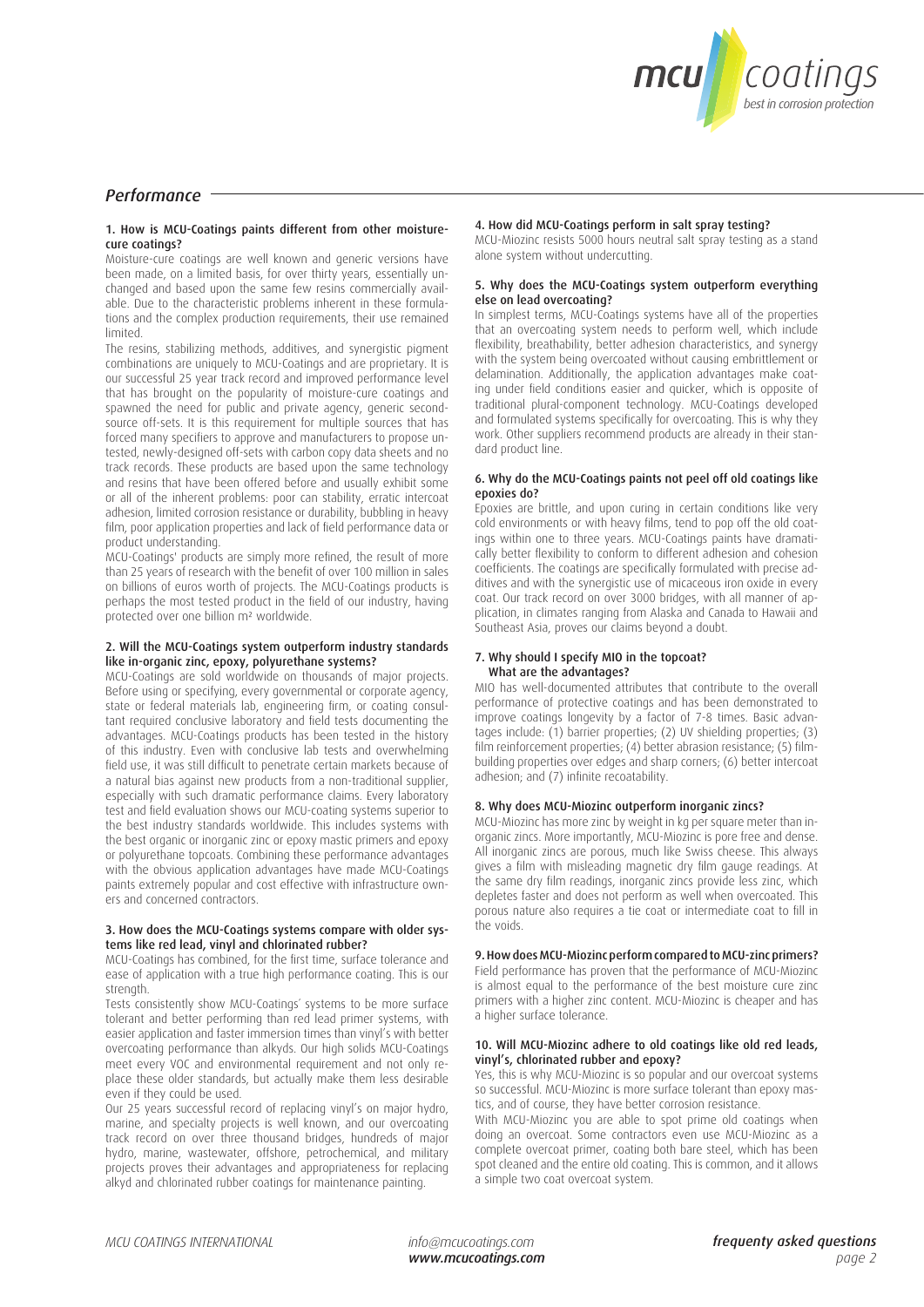

# *Performance*

#### 1. How is MCU-Coatings paints different from other moisturecure coatings?

Moisture-cure coatings are well known and generic versions have been made, on a limited basis, for over thirty years, essentially unchanged and based upon the same few resins commercially available. Due to the characteristic problems inherent in these formulations and the complex production requirements, their use remained limited.

The resins, stabilizing methods, additives, and synergistic pigment combinations are uniquely to MCU-Coatings and are proprietary. It is our successful 25 year track record and improved performance level that has brought on the popularity of moisture-cure coatings and spawned the need for public and private agency, generic secondsource off-sets. It is this requirement for multiple sources that has forced many specifiers to approve and manufacturers to propose untested, newly-designed off-sets with carbon copy data sheets and no track records. These products are based upon the same technology and resins that have been offered before and usually exhibit some or all of the inherent problems: poor can stability, erratic intercoat adhesion, limited corrosion resistance or durability, bubbling in heavy film, poor application properties and lack of field performance data or product understanding.

MCU-Coatings' products are simply more refined, the result of more than 25 years of research with the benefit of over 100 million in sales on billions of euros worth of projects. The MCU-Coatings products is perhaps the most tested product in the field of our industry, having protected over one billion m² worldwide.

#### 2. Will the MCU-Coatings system outperform industry standards like in-organic zinc, epoxy, polyurethane systems?

MCU-Coatings are sold worldwide on thousands of major projects. Before using or specifying, every governmental or corporate agency, state or federal materials lab, engineering firm, or coating consultant required conclusive laboratory and field tests documenting the advantages. MCU-Coatings products has been tested in the history of this industry. Even with conclusive lab tests and overwhelming field use, it was still difficult to penetrate certain markets because of a natural bias against new products from a non-traditional supplier, especially with such dramatic performance claims. Every laboratory test and field evaluation shows our MCU-coating systems superior to the best industry standards worldwide. This includes systems with the best organic or inorganic zinc or epoxy mastic primers and epoxy or polyurethane topcoats. Combining these performance advantages with the obvious application advantages have made MCU-Coatings paints extremely popular and cost effective with infrastructure owners and concerned contractors.

#### 3. How does the MCU-Coatings systems compare with older systems like red lead, vinyl and chlorinated rubber?

MCU-Coatings has combined, for the first time, surface tolerance and ease of application with a true high performance coating. This is our strength.

Tests consistently show MCU-Coatings´ systems to be more surface tolerant and better performing than red lead primer systems, with easier application and faster immersion times than vinyl's with better overcoating performance than alkyds. Our high solids MCU-Coatings meet every VOC and environmental requirement and not only replace these older standards, but actually make them less desirable even if they could be used.

Our 25 years successful record of replacing vinyl's on major hydro, marine, and specialty projects is well known, and our overcoating track record on over three thousand bridges, hundreds of major hydro, marine, wastewater, offshore, petrochemical, and military projects proves their advantages and appropriateness for replacing alkyd and chlorinated rubber coatings for maintenance painting.

#### 4. How did MCU-Coatings perform in salt spray testing?

MCU-Miozinc resists 5000 hours neutral salt spray testing as a stand alone system without undercutting.

#### 5. Why does the MCU-Coatings system outperform everything else on lead overcoating?

In simplest terms, MCU-Coatings systems have all of the properties that an overcoating system needs to perform well, which include flexibility, breathability, better adhesion characteristics, and synergy with the system being overcoated without causing embrittlement or delamination. Additionally, the application advantages make coating under field conditions easier and quicker, which is opposite of traditional plural-component technology. MCU-Coatings developed and formulated systems specifically for overcoating. This is why they work. Other suppliers recommend products are already in their standard product line.

#### 6. Why do the MCU-Coatings paints not peel off old coatings like epoxies do?

Epoxies are brittle, and upon curing in certain conditions like very cold environments or with heavy films, tend to pop off the old coatings within one to three years. MCU-Coatings paints have dramatically better flexibility to conform to different adhesion and cohesion coefficients. The coatings are specifically formulated with precise additives and with the synergistic use of micaceous iron oxide in every coat. Our track record on over 3000 bridges, with all manner of application, in climates ranging from Alaska and Canada to Hawaii and Southeast Asia, proves our claims beyond a doubt.

#### 7. Why should I specify MIO in the topcoat? What are the advantages?

MIO has well-documented attributes that contribute to the overall performance of protective coatings and has been demonstrated to improve coatings longevity by a factor of 7-8 times. Basic advantages include: (1) barrier properties; (2) UV shielding properties; (3) film reinforcement properties; (4) better abrasion resistance; (5) filmbuilding properties over edges and sharp corners; (6) better intercoat adhesion; and (7) infinite recoatability.

### 8. Why does MCU-Miozinc outperform inorganic zincs?

MCU-Miozinc has more zinc by weight in kg per square meter than inorganic zincs. More importantly, MCU-Miozinc is pore free and dense. All inorganic zincs are porous, much like Swiss cheese. This always gives a film with misleading magnetic dry film gauge readings. At the same dry film readings, inorganic zincs provide less zinc, which depletes faster and does not perform as well when overcoated. This porous nature also requires a tie coat or intermediate coat to fill in the voids.

#### 9. How does MCU-Miozinc perform compared to MCU-zinc primers? Field performance has proven that the performance of MCU-Miozinc is almost equal to the performance of the best moisture cure zinc primers with a higher zinc content. MCU-Miozinc is cheaper and has a higher surface tolerance.

#### 10. Will MCU-Miozinc adhere to old coatings like old red leads, vinyl's, chlorinated rubber and epoxy?

Yes, this is why MCU-Miozinc is so popular and our overcoat systems so successful. MCU-Miozinc is more surface tolerant than epoxy mastics, and of course, they have better corrosion resistance.

With MCU-Miozinc you are able to spot prime old coatings when doing an overcoat. Some contractors even use MCU-Miozinc as a complete overcoat primer, coating both bare steel, which has been spot cleaned and the entire old coating. This is common, and it allows a simple two coat overcoat system.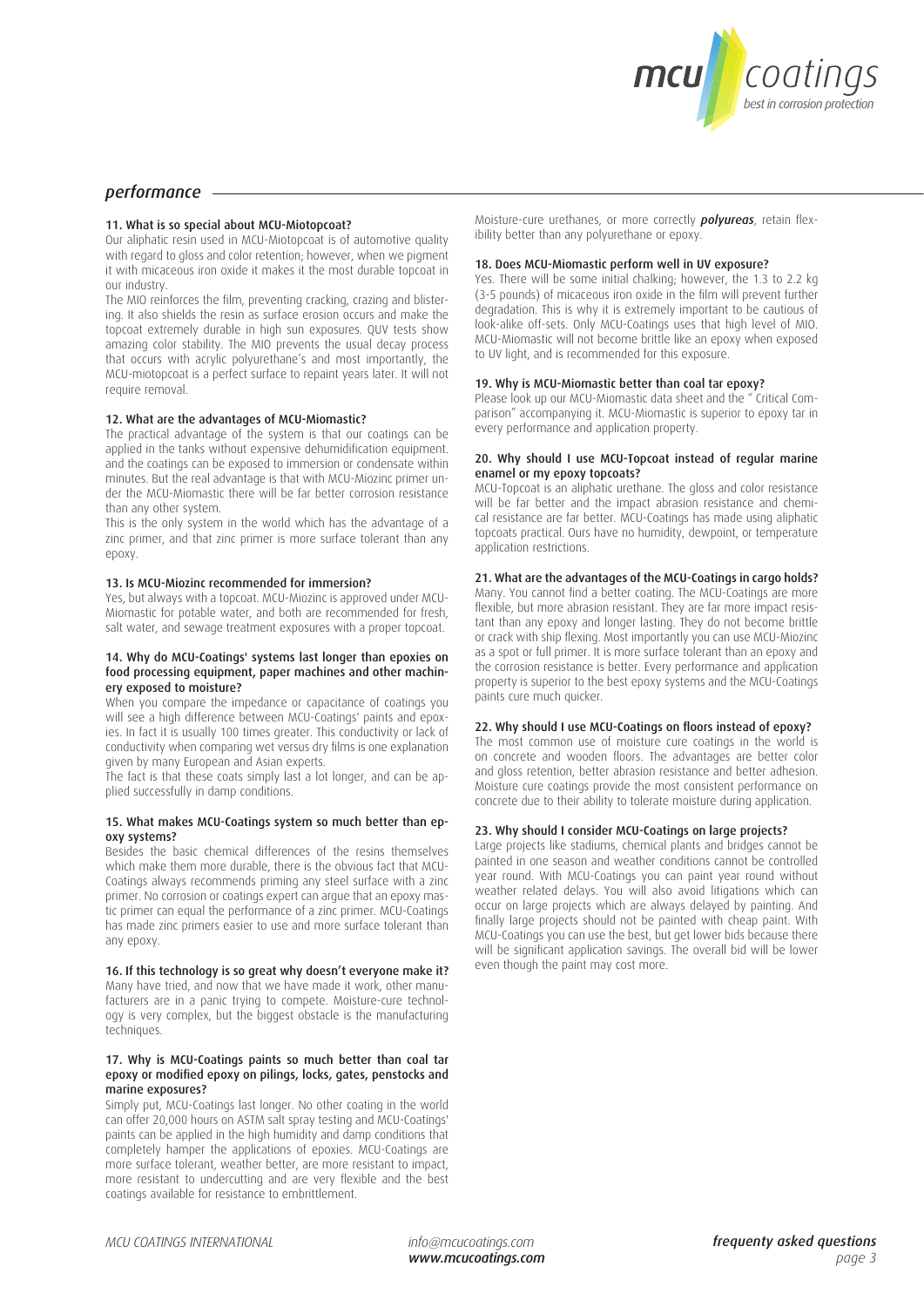

# *performance*

#### 11. What is so special about MCU-Miotopcoat?

Our aliphatic resin used in MCU-Miotopcoat is of automotive quality with regard to gloss and color retention; however, when we pigment it with micaceous iron oxide it makes it the most durable topcoat in our industry.

The MIO reinforces the film, preventing cracking, crazing and blistering. It also shields the resin as surface erosion occurs and make the topcoat extremely durable in high sun exposures. QUV tests show amazing color stability. The MIO prevents the usual decay process that occurs with acrylic polyurethane's and most importantly, the MCU-miotopcoat is a perfect surface to repaint years later. It will not require removal.

#### 12. What are the advantages of MCU-Miomastic?

The practical advantage of the system is that our coatings can be applied in the tanks without expensive dehumidification equipment. and the coatings can be exposed to immersion or condensate within minutes. But the real advantage is that with MCU-Miozinc primer under the MCU-Miomastic there will be far better corrosion resistance than any other system.

This is the only system in the world which has the advantage of a zinc primer, and that zinc primer is more surface tolerant than any epoxy.

#### 13. Is MCU-Miozinc recommended for immersion?

Yes, but always with a topcoat. MCU-Miozinc is approved under MCU-Miomastic for potable water, and both are recommended for fresh, salt water, and sewage treatment exposures with a proper topcoat.

#### 14. Why do MCU-Coatings' systems last longer than epoxies on food processing equipment, paper machines and other machinery exposed to moisture?

When you compare the impedance or capacitance of coatings you will see a high difference between MCU-Coatings' paints and epoxies. In fact it is usually 100 times greater. This conductivity or lack of conductivity when comparing wet versus dry films is one explanation given by many European and Asian experts.

The fact is that these coats simply last a lot longer, and can be applied successfully in damp conditions.

#### 15. What makes MCU-Coatings system so much better than epoxy systems?

Besides the basic chemical differences of the resins themselves which make them more durable, there is the obvious fact that MCU-Coatings always recommends priming any steel surface with a zinc primer. No corrosion or coatings expert can argue that an epoxy mastic primer can equal the performance of a zinc primer. MCU-Coatings has made zinc primers easier to use and more surface tolerant than any epoxy.

16. If this technology is so great why doesn't everyone make it? Many have tried, and now that we have made it work, other manufacturers are in a panic trying to compete. Moisture-cure technology is very complex, but the biggest obstacle is the manufacturing techniques.

#### 17. Why is MCU-Coatings paints so much better than coal tar epoxy or modified epoxy on pilings, locks, gates, penstocks and marine exposures?

Simply put, MCU-Coatings last longer. No other coating in the world can offer 20,000 hours on ASTM salt spray testing and MCU-Coatings' paints can be applied in the high humidity and damp conditions that completely hamper the applications of epoxies. MCU-Coatings are more surface tolerant, weather better, are more resistant to impact, more resistant to undercutting and are very flexible and the best coatings available for resistance to embrittlement.

Moisture-cure urethanes, or more correctly *polyureas*, retain flexibility better than any polyurethane or epoxy.

#### 18. Does MCU-Miomastic perform well in UV exposure?

Yes. There will be some initial chalking; however, the 1.3 to 2.2 kg (3-5 pounds) of micaceous iron oxide in the film will prevent further degradation. This is why it is extremely important to be cautious of look-alike off-sets. Only MCU-Coatings uses that high level of MIO. MCU-Miomastic will not become brittle like an epoxy when exposed to UV light, and is recommended for this exposure.

#### 19. Why is MCU-Miomastic better than coal tar epoxy?

Please look up our MCU-Miomastic data sheet and the " Critical Comparison" accompanying it. MCU-Miomastic is superior to epoxy tar in every performance and application property.

#### 20. Why should I use MCU-Topcoat instead of regular marine enamel or my epoxy topcoats?

MCU-Topcoat is an aliphatic urethane. The gloss and color resistance will be far better and the impact abrasion resistance and chemical resistance are far better. MCU-Coatings has made using aliphatic topcoats practical. Ours have no humidity, dewpoint, or temperature application restrictions.

#### 21. What are the advantages of the MCU-Coatings in cargo holds?

Many. You cannot find a better coating. The MCU-Coatings are more flexible, but more abrasion resistant. They are far more impact resistant than any epoxy and longer lasting. They do not become brittle or crack with ship flexing. Most importantly you can use MCU-Miozinc as a spot or full primer. It is more surface tolerant than an epoxy and the corrosion resistance is better. Every performance and application property is superior to the best epoxy systems and the MCU-Coatings paints cure much quicker.

#### 22. Why should I use MCU-Coatings on floors instead of epoxy?

The most common use of moisture cure coatings in the world is on concrete and wooden floors. The advantages are better color and gloss retention, better abrasion resistance and better adhesion. Moisture cure coatings provide the most consistent performance on concrete due to their ability to tolerate moisture during application.

#### 23. Why should I consider MCU-Coatings on large projects?

Large projects like stadiums, chemical plants and bridges cannot be painted in one season and weather conditions cannot be controlled year round. With MCU-Coatings you can paint year round without weather related delays. You will also avoid litigations which can occur on large projects which are always delayed by painting. And finally large projects should not be painted with cheap paint. With MCU-Coatings you can use the best, but get lower bids because there will be significant application savings. The overall bid will be lower even though the paint may cost more.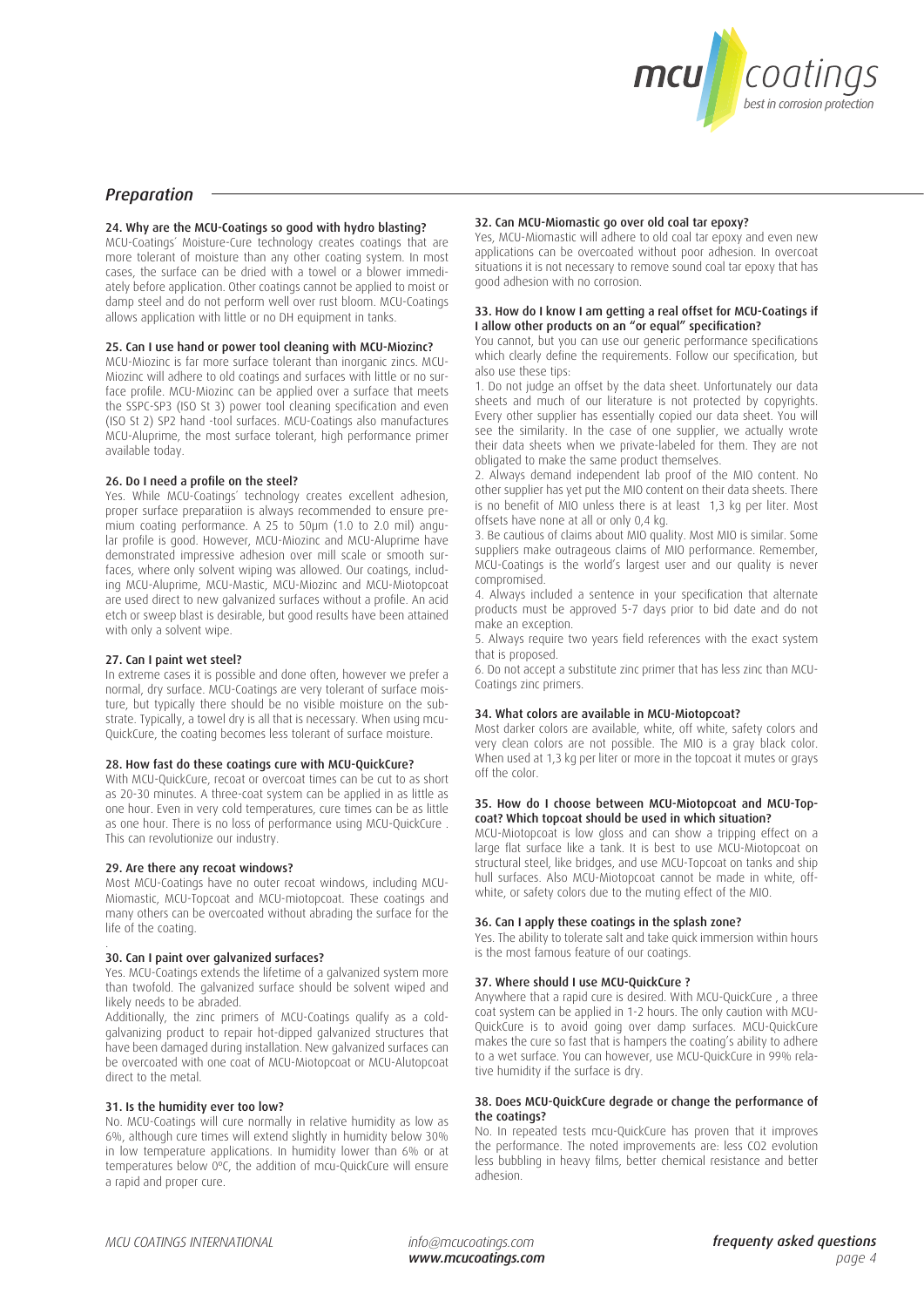

# *Preparation*

### 24. Why are the MCU-Coatings so good with hydro blasting?

MCU-Coatings´ Moisture-Cure technology creates coatings that are more tolerant of moisture than any other coating system. In most cases, the surface can be dried with a towel or a blower immediately before application. Other coatings cannot be applied to moist or damp steel and do not perform well over rust bloom. MCU-Coatings allows application with little or no DH equipment in tanks.

#### 25. Can I use hand or power tool cleaning with MCU-Miozinc?

MCU-Miozinc is far more surface tolerant than inorganic zincs. MCU-Miozinc will adhere to old coatings and surfaces with little or no surface profile. MCU-Miozinc can be applied over a surface that meets the SSPC-SP3 (ISO St 3) power tool cleaning specification and even (ISO St 2) SP2 hand -tool surfaces. MCU-Coatings also manufactures MCU-Aluprime, the most surface tolerant, high performance primer available today.

#### 26. Do I need a profile on the steel?

Yes. While MCU-Coatings´ technology creates excellent adhesion, proper surface preparatiion is always recommended to ensure premium coating performance. A 25 to 50µm (1.0 to 2.0 mil) angular profile is good. However, MCU-Miozinc and MCU-Aluprime have demonstrated impressive adhesion over mill scale or smooth surfaces, where only solvent wiping was allowed. Our coatings, including MCU-Aluprime, MCU-Mastic, MCU-Miozinc and MCU-Miotopcoat are used direct to new galvanized surfaces without a profile. An acid etch or sweep blast is desirable, but good results have been attained with only a solvent wipe.

#### 27. Can I paint wet steel?

In extreme cases it is possible and done often, however we prefer a normal, dry surface. MCU-Coatings are very tolerant of surface moisture, but typically there should be no visible moisture on the substrate. Typically, a towel dry is all that is necessary. When using mcu-QuickCure, the coating becomes less tolerant of surface moisture.

#### 28. How fast do these coatings cure with MCU-QuickCure?

With MCU-QuickCure, recoat or overcoat times can be cut to as short as 20-30 minutes. A three-coat system can be applied in as little as one hour. Even in very cold temperatures, cure times can be as little as one hour. There is no loss of performance using MCU-QuickCure . This can revolutionize our industry.

#### 29. Are there any recoat windows?

Most MCU-Coatings have no outer recoat windows, including MCU-Miomastic, MCU-Topcoat and MCU-miotopcoat. These coatings and many others can be overcoated without abrading the surface for the life of the coating.

#### . 30. Can I paint over galvanized surfaces?

Yes. MCU-Coatings extends the lifetime of a galvanized system more than twofold. The galvanized surface should be solvent wiped and likely needs to be abraded.

Additionally, the zinc primers of MCU-Coatings qualify as a coldgalvanizing product to repair hot-dipped galvanized structures that have been damaged during installation. New galvanized surfaces can be overcoated with one coat of MCU-Miotopcoat or MCU-Alutopcoat direct to the metal.

#### 31. Is the humidity ever too low?

No. MCU-Coatings will cure normally in relative humidity as low as 6%, although cure times will extend slightly in humidity below 30% in low temperature applications. In humidity lower than 6% or at temperatures below 0ºC, the addition of mcu-QuickCure will ensure a rapid and proper cure.

#### 32. Can MCU-Miomastic go over old coal tar epoxy?

Yes, MCU-Miomastic will adhere to old coal tar epoxy and even new applications can be overcoated without poor adhesion. In overcoat situations it is not necessary to remove sound coal tar epoxy that has good adhesion with no corrosion.

#### 33. How do I know I am getting a real offset for MCU-Coatings if I allow other products on an "or equal" specification?

You cannot, but you can use our generic performance specifications which clearly define the requirements. Follow our specification, but also use these tips:

1. Do not judge an offset by the data sheet. Unfortunately our data sheets and much of our literature is not protected by copyrights. Every other supplier has essentially copied our data sheet. You will see the similarity. In the case of one supplier, we actually wrote their data sheets when we private-labeled for them. They are not obligated to make the same product themselves.

2. Always demand independent lab proof of the MIO content. No other supplier has yet put the MIO content on their data sheets. There is no benefit of MIO unless there is at least 1,3 kg per liter. Most offsets have none at all or only 0,4 kg.

3. Be cautious of claims about MIO quality. Most MIO is similar. Some suppliers make outrageous claims of MIO performance. Remember, MCU-Coatings is the world's largest user and our quality is never compromised.

4. Always included a sentence in your specification that alternate products must be approved 5-7 days prior to bid date and do not make an exception.

5. Always require two years field references with the exact system that is proposed.

6. Do not accept a substitute zinc primer that has less zinc than MCU-Coatings zinc primers.

#### 34. What colors are available in MCU-Miotopcoat?

Most darker colors are available, white, off white, safety colors and very clean colors are not possible. The MIO is a gray black color. When used at 1,3 kg per liter or more in the topcoat it mutes or grays off the color.

#### 35. How do I choose between MCU-Miotopcoat and MCU-Topcoat? Which topcoat should be used in which situation?

MCU-Miotopcoat is low gloss and can show a tripping effect on a large flat surface like a tank. It is best to use MCU-Miotopcoat on structural steel, like bridges, and use MCU-Topcoat on tanks and ship hull surfaces. Also MCU-Miotopcoat cannot be made in white, offwhite, or safety colors due to the muting effect of the MIO.

#### 36. Can I apply these coatings in the splash zone?

Yes. The ability to tolerate salt and take quick immersion within hours is the most famous feature of our coatings.

#### 37. Where should I use MCU-QuickCure ?

Anywhere that a rapid cure is desired. With MCU-QuickCure , a three coat system can be applied in 1-2 hours. The only caution with MCU-QuickCure is to avoid going over damp surfaces. MCU-QuickCure makes the cure so fast that is hampers the coating's ability to adhere to a wet surface. You can however, use MCU-QuickCure in 99% relative humidity if the surface is dry.

#### 38. Does MCU-QuickCure degrade or change the performance of the coatings?

No. In repeated tests mcu-QuickCure has proven that it improves the performance. The noted improvements are: less CO2 evolution less bubbling in heavy films, better chemical resistance and better adhesion.